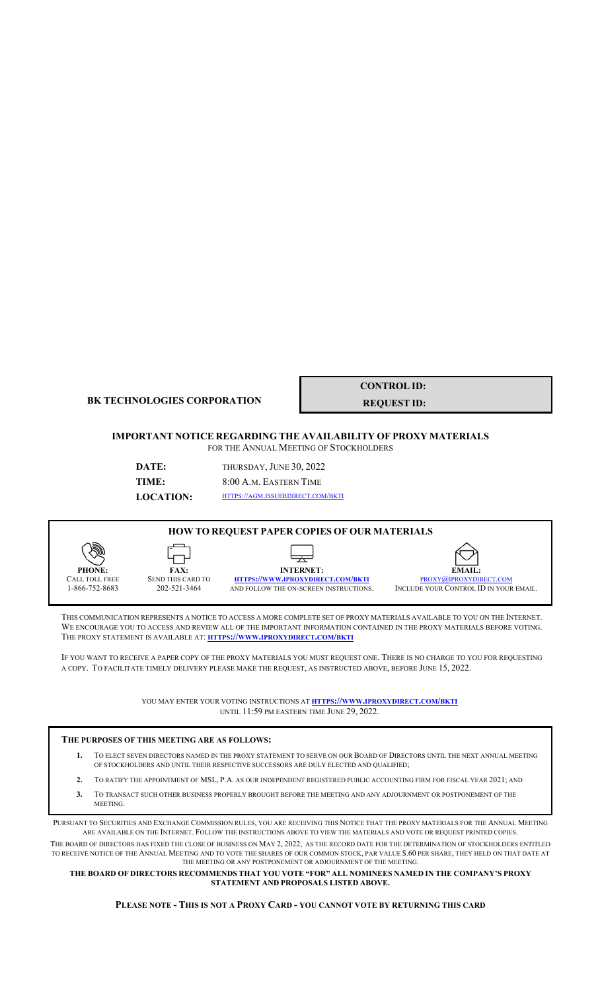#### **BK TECHNOLOGIES CORPORATION**

**CONTROL ID: REQUEST ID:**

### **IMPORTANT NOTICE REGARDING THE AVAILABILITY OF PROXY MATERIALS**

FOR THE ANNUAL MEETING OF STOCKHOLDERS

**DATE:** THURSDAY, JUNE 30, 2022 **TIME:** 8:00 A.M. EASTERN TIME

**LOCATION:** [HTTPS://AGM.ISSUERDIRECT.COM/BKTI](https://agm.issuerdirect.com/bkti)

#### **HOW TO REQUEST PAPER COPIES OF OUR MATERIALS**

**PHONE:** CALL TOLL FREE 1-866-752-8683



デ **INTERNET: [HTTPS://WWW.IPROXYDIRECT.COM/BKTI](https://www.iproxydirect.com/bkti)** AND FOLLOW THE ON-SCREEN INSTRUCTIONS.



[PROXY@IPROXYDIRECT.COM](mailto:proxy@iproxydirect.com) INCLUDE YOUR CONTROL ID IN YOUR EMAIL.

THIS COMMUNICATION REPRESENTS A NOTICE TO ACCESS A MORE COMPLETE SET OF PROXY MATERIALS AVAILABLE TO YOU ON THE INTERNET. WE ENCOURAGE YOU TO ACCESS AND REVIEW ALL OF THE IMPORTANT INFORMATION CONTAINED IN THE PROXY MATERIALS BEFORE VOTING. THE PROXY STATEMENT IS AVAILABLE AT: **[HTTPS://WWW.IPROXYDIRECT.COM/BKTI](https://www.iproxydirect.com/bkti)**

IF YOU WANT TO RECEIVE A PAPER COPY OF THE PROXY MATERIALS YOU MUST REQUEST ONE. THERE IS NO CHARGE TO YOU FOR REQUESTING A COPY. TO FACILITATE TIMELY DELIVERY PLEASE MAKE THE REQUEST, AS INSTRUCTED ABOVE, BEFORE JUNE 15, 2022.

> YOU MAY ENTER YOUR VOTING INSTRUCTIONS AT **[HTTPS://WWW.IPROXYDIRECT.COM/BKTI](https://www.iproxydirect.com/bkti)** UNTIL 11:59 PM EASTERN TIME JUNE 29, 2022.

#### **THE PURPOSES OF THIS MEETING ARE AS FOLLOWS:**

- **1.** TO ELECT SEVEN DIRECTORS NAMED IN THE PROXY STATEMENT TO SERVE ON OUR BOARD OF DIRECTORS UNTIL THE NEXT ANNUAL MEETING OF STOCKHOLDERS AND UNTIL THEIR RESPECTIVE SUCCESSORS ARE DULY ELECTED AND QUALIFIED;
- **2.** TO RATIFY THE APPOINTMENT OF MSL, P.A. AS OUR INDEPENDENT REGISTERED PUBLIC ACCOUNTING FIRM FOR FISCAL YEAR 2021; AND
- **3.** TO TRANSACT SUCH OTHER BUSINESS PROPERLY BROUGHT BEFORE THE MEETING AND ANY ADJOURNMENT OR POSTPONEMENT OF THE MEETING.

PURSUANT TO SECURITIES AND EXCHANGE COMMISSION RULES, YOU ARE RECEIVING THIS NOTICE THAT THE PROXY MATERIALS FOR THE ANNUAL MEETING ARE AVAILABLE ON THE INTERNET. FOLLOW THE INSTRUCTIONS ABOVE TO VIEW THE MATERIALS AND VOTE OR REQUEST PRINTED COPIES.

THE BOARD OF DIRECTORS HAS FIXED THE CLOSE OF BUSINESS ON MAY 2, 2022, AS THE RECORD DATE FOR THE DETERMINATION OF STOCKHOLDERS ENTITLED TO RECEIVE NOTICE OF THE ANNUAL MEETING AND TO VOTE THE SHARES OF OUR COMMON STOCK, PAR VALUE \$.60 PER SHARE, THEY HELD ON THAT DATE AT THE MEETING OR ANY POSTPONEMENT OR ADJOURNMENT OF THE MEETING.

**THE BOARD OF DIRECTORS RECOMMENDS THAT YOU VOTE "FOR" ALL NOMINEES NAMED IN THE COMPANY'S PROXY STATEMENT AND PROPOSALS LISTED ABOVE.**

**PLEASE NOTE - THIS IS NOT A PROXY CARD - YOU CANNOT VOTE BY RETURNING THIS CARD**